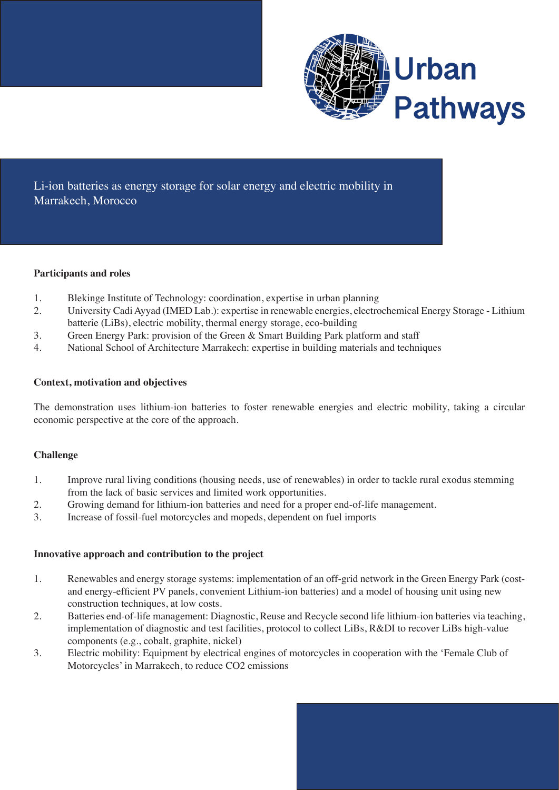

Li-ion batteries as energy storage for solar energy and electric mobility in Marrakech, Morocco

## **Participants and roles**

- 1. Blekinge Institute of Technology: coordination, expertise in urban planning
- 2. University Cadi Ayyad (IMED Lab.): expertise in renewable energies, electrochemical Energy Storage Lithium batterie (LiBs), electric mobility, thermal energy storage, eco-building
- 3. Green Energy Park: provision of the Green & Smart Building Park platform and staff
- 4. National School of Architecture Marrakech: expertise in building materials and techniques

## **Context, motivation and objectives**

The demonstration uses lithium-ion batteries to foster renewable energies and electric mobility, taking a circular economic perspective at the core of the approach.

## **Challenge**

- 1. Improve rural living conditions (housing needs, use of renewables) in order to tackle rural exodus stemming from the lack of basic services and limited work opportunities.
- 2. Growing demand for lithium-ion batteries and need for a proper end-of-life management.
- 3. Increase of fossil-fuel motorcycles and mopeds, dependent on fuel imports

## **Innovative approach and contribution to the project**

- 1. Renewables and energy storage systems: implementation of an off-grid network in the Green Energy Park (cost- and energy-efficient PV panels, convenient Lithium-ion batteries) and a model of housing unit using new construction techniques, at low costs.
- 2. Batteries end-of-life management: Diagnostic, Reuse and Recycle second life lithium-ion batteries via teaching, implementation of diagnostic and test facilities, protocol to collect LiBs, R&DI to recover LiBs high-value components (e.g., cobalt, graphite, nickel)
- 3. Electric mobility: Equipment by electrical engines of motorcycles in cooperation with the 'Female Club of Motorcycles' in Marrakech, to reduce CO2 emissions